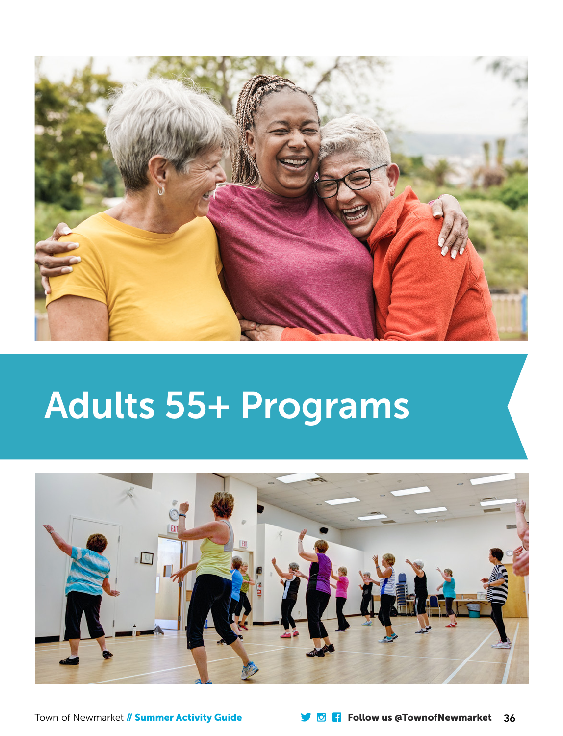

# Adults 55+ Programs

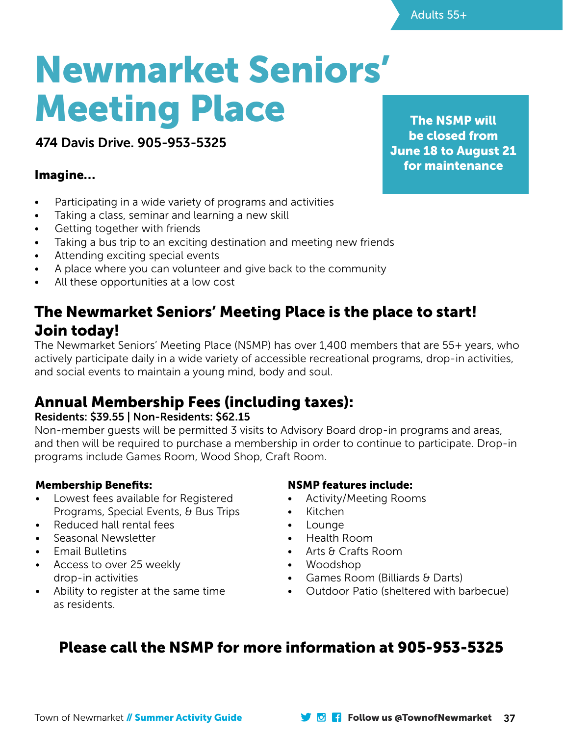# Newmarket Seniors' Meeting Place

474 Davis Drive. 905-953-5325

#### Imagine…

- Participating in a wide variety of programs and activities
- Taking a class, seminar and learning a new skill
- Getting together with friends
- Taking a bus trip to an exciting destination and meeting new friends
- Attending exciting special events
- A place where you can volunteer and give back to the community
- All these opportunities at a low cost

### The Newmarket Seniors' Meeting Place is the place to start! Join today!

The Newmarket Seniors' Meeting Place (NSMP) has over 1,400 members that are 55+ years, who actively participate daily in a wide variety of accessible recreational programs, drop-in activities, and social events to maintain a young mind, body and soul.

## Annual Membership Fees (including taxes):

#### Residents: \$39.55 | Non-Residents: \$62.15

Non-member guests will be permitted 3 visits to Advisory Board drop-in programs and areas, and then will be required to purchase a membership in order to continue to participate. Drop-in programs include Games Room, Wood Shop, Craft Room.

#### Membership Benefits:

- Lowest fees available for Registered Programs, Special Events, & Bus Trips
- Reduced hall rental fees
- Seasonal Newsletter
- Email Bulletins
- Access to over 25 weekly drop-in activities
- Ability to register at the same time as residents.

#### NSMP features include:

- Activity/Meeting Rooms
- Kitchen
- Lounge
- Health Room
- Arts & Crafts Room
- Woodshop
- Games Room (Billiards & Darts)
- Outdoor Patio (sheltered with barbecue)

## Please call the NSMP for more information at 905-953-5325

The NSMP will be closed from June 18 to August 21 for maintenance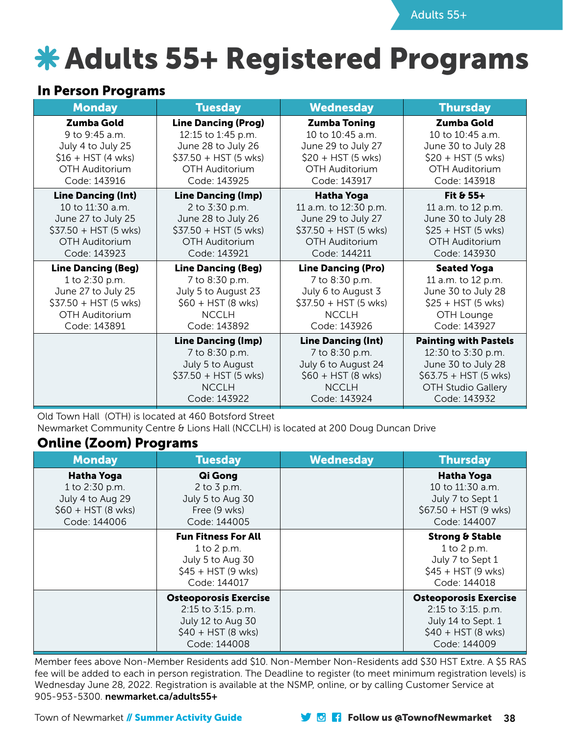## **\* Adults 55+ Registered Programs**

#### In Person Programs

| <b>Monday</b>             | <b>Tuesday</b>             | <b>Wednesday</b>          | <b>Thursday</b>              |
|---------------------------|----------------------------|---------------------------|------------------------------|
| Zumba Gold                | <b>Line Dancing (Prog)</b> | <b>Zumba Toning</b>       | Zumba Gold                   |
| 9 to 9:45 a.m.            | 12:15 to 1:45 p.m.         | 10 to $10:45$ a.m.        | 10 to $10:45$ a.m.           |
| July 4 to July 25         | June 28 to July 26         | June 29 to July 27        | June 30 to July 28           |
| $$16 + HST (4 wks)$       | $$37.50 + HST (5 wks)$     | $$20 + HST (5 wks)$       | $$20 + HST (5 wks)$          |
| OTH Auditorium            | OTH Auditorium             | OTH Auditorium            | OTH Auditorium               |
| Code: 143916              | Code: 143925               | Code: 143917              | Code: 143918                 |
| <b>Line Dancing (Int)</b> | <b>Line Dancing (Imp)</b>  | <b>Hatha Yoga</b>         | Fit $& 55+$                  |
| 10 to 11:30 a.m.          | 2 to 3:30 p.m.             | 11 a.m. to 12:30 p.m.     | 11 a.m. to 12 p.m.           |
| June 27 to July 25        | June 28 to July 26         | June 29 to July 27        | June 30 to July 28           |
| \$37.50 + HST (5 wks)     | $$37.50 + HST (5 wks)$     | $$37.50 + HST (5 wks)$    | $$25 + HST (5 wks)$          |
| <b>OTH Auditorium</b>     | OTH Auditorium             | OTH Auditorium            | OTH Auditorium               |
| Code: 143923              | Code: 143921               | Code: 144211              | Code: 143930                 |
| <b>Line Dancing (Beg)</b> | <b>Line Dancing (Beg)</b>  | <b>Line Dancing (Pro)</b> | <b>Seated Yoga</b>           |
| 1 to 2:30 p.m.            | 7 to 8:30 p.m.             | 7 to 8:30 p.m.            | 11 a.m. to 12 p.m.           |
| June 27 to July 25        | July 5 to August 23        | July 6 to August 3        | June 30 to July 28           |
| $$37.50 + HST (5 wks)$    | $$60 + HST (8 wks)$        | $$37.50 + HST (5 wks)$    | $$25 + HST (5 wks)$          |
| OTH Auditorium            | <b>NCCLH</b>               | <b>NCCLH</b>              | OTH Lounge                   |
| Code: 143891              | Code: 143892               | Code: 143926              | Code: 143927                 |
|                           | <b>Line Dancing (Imp)</b>  | <b>Line Dancing (Int)</b> | <b>Painting with Pastels</b> |
|                           | 7 to 8:30 p.m.             | 7 to 8:30 p.m.            | 12:30 to 3:30 p.m.           |
|                           | July 5 to August           | July 6 to August 24       | June 30 to July 28           |
|                           | $$37.50 + HST (5 wks)$     | $$60 + HST (8 wks)$       | $$63.75 + HST (5 wks)$       |
|                           | <b>NCCLH</b>               | <b>NCCLH</b>              | <b>OTH Studio Gallery</b>    |
|                           | Code: 143922               | Code: 143924              | Code: 143932                 |

Old Town Hall (OTH) is located at 460 Botsford Street

Newmarket Community Centre & Lions Hall (NCCLH) is located at 200 Doug Duncan Drive

#### Online (Zoom) Programs

| <b>Monday</b>                                                                                  | <b>Tuesday</b>                                                                                                 | <b>Wednesday</b> | <b>Thursday</b>                                                                                                 |
|------------------------------------------------------------------------------------------------|----------------------------------------------------------------------------------------------------------------|------------------|-----------------------------------------------------------------------------------------------------------------|
| <b>Hatha Yoga</b><br>1 to 2:30 p.m.<br>July 4 to Aug 29<br>$$60 + HST (8 wks)$<br>Code: 144006 | Qi Gong<br>2 to $3$ p.m.<br>July 5 to Aug 30<br>Free (9 wks)<br>Code: 144005                                   |                  | Hatha Yoga<br>10 to 11:30 a.m.<br>July 7 to Sept 1<br>$$67.50 + HST (9 wks)$<br>Code: 144007                    |
|                                                                                                | <b>Fun Fitness For All</b><br>1 to 2 p.m.<br>July 5 to Aug 30<br>$$45 + HST (9 wks)$<br>Code: 144017           |                  | <b>Strong &amp; Stable</b><br>$1$ to $2$ p.m.<br>July 7 to Sept 1<br>$$45 + HST (9 wks)$<br>Code: 144018        |
|                                                                                                | <b>Osteoporosis Exercise</b><br>2:15 to 3:15. p.m.<br>July 12 to Aug 30<br>$$40 + HST (8 wks)$<br>Code: 144008 |                  | <b>Osteoporosis Exercise</b><br>2:15 to 3:15. p.m.<br>July 14 to Sept. 1<br>$$40 + HST (8 wks)$<br>Code: 144009 |

Member fees above Non-Member Residents add \$10. Non-Member Non-Residents add \$30 HST Extre. A \$5 RAS fee will be added to each in person registration. The Deadline to register (to meet minimum registration levels) is Wednesday June 28, 2022. Registration is available at the NSMP, online, or by calling Customer Service at 905-953-5300. newmarket.ca/adults55+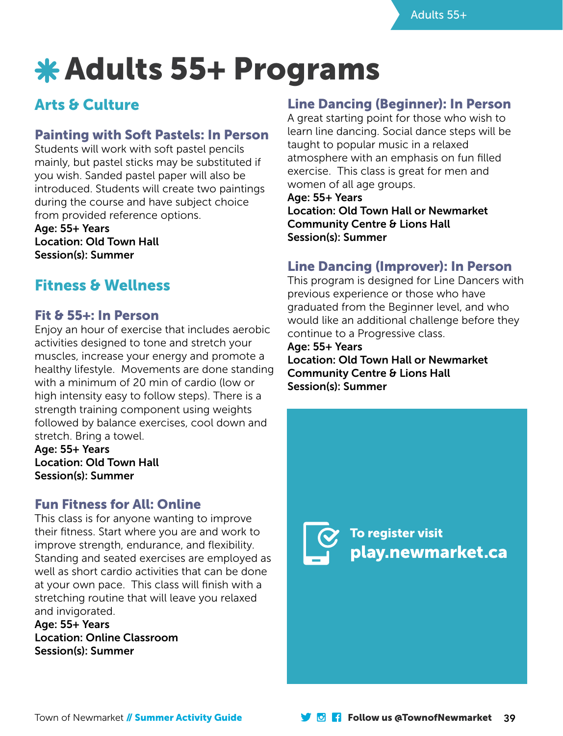## Adults 55+ Programs

## Arts & Culture

#### Painting with Soft Pastels: In Person

Students will work with soft pastel pencils mainly, but pastel sticks may be substituted if you wish. Sanded pastel paper will also be introduced. Students will create two paintings during the course and have subject choice from provided reference options.

Age: 55+ Years Location: Old Town Hall Session(s): Summer

### Fitness & Wellness

#### Fit & 55+: In Person

Enjoy an hour of exercise that includes aerobic activities designed to tone and stretch your muscles, increase your energy and promote a healthy lifestyle. Movements are done standing with a minimum of 20 min of cardio (low or high intensity easy to follow steps). There is a strength training component using weights followed by balance exercises, cool down and stretch. Bring a towel.

Age: 55+ Years Location: Old Town Hall Session(s): Summer

#### Fun Fitness for All: Online

This class is for anyone wanting to improve their fitness. Start where you are and work to improve strength, endurance, and flexibility. Standing and seated exercises are employed as well as short cardio activities that can be done at your own pace. This class will finish with a stretching routine that will leave you relaxed and invigorated.

Age: 55+ Years Location: Online Classroom Session(s): Summer

#### Line Dancing (Beginner): In Person

A great starting point for those who wish to learn line dancing. Social dance steps will be taught to popular music in a relaxed atmosphere with an emphasis on fun filled exercise. This class is great for men and women of all age groups.

Age: 55+ Years Location: Old Town Hall or Newmarket Community Centre & Lions Hall Session(s): Summer

#### Line Dancing (Improver): In Person

This program is designed for Line Dancers with previous experience or those who have graduated from the Beginner level, and who would like an additional challenge before they continue to a Progressive class.

Age: 55+ Years Location: Old Town Hall or Newmarket Community Centre & Lions Hall Session(s): Summer

> To register visit play.newmarket.ca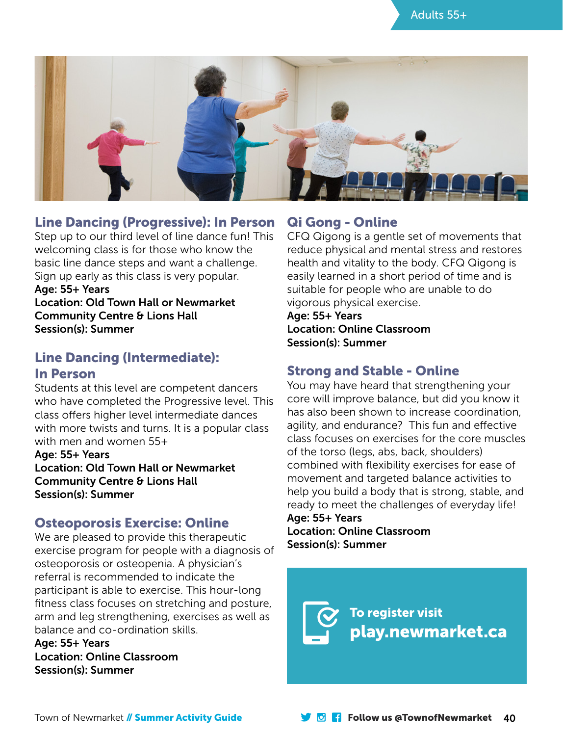



#### Line Dancing (Progressive): In Person

Step up to our third level of line dance fun! This welcoming class is for those who know the basic line dance steps and want a challenge. Sign up early as this class is very popular. Age: 55+ Years Location: Old Town Hall or Newmarket

Community Centre & Lions Hall Session(s): Summer

#### Line Dancing (Intermediate): In Person

Students at this level are competent dancers who have completed the Progressive level. This class offers higher level intermediate dances with more twists and turns. It is a popular class with men and women 55+

Age: 55+ Years Location: Old Town Hall or Newmarket Community Centre & Lions Hall Session(s): Summer

#### Osteoporosis Exercise: Online

We are pleased to provide this therapeutic exercise program for people with a diagnosis of osteoporosis or osteopenia. A physician's referral is recommended to indicate the participant is able to exercise. This hour-long fitness class focuses on stretching and posture, arm and leg strengthening, exercises as well as balance and co-ordination skills.

Age: 55+ Years Location: Online Classroom Session(s): Summer

#### Qi Gong - Online

CFQ Qigong is a gentle set of movements that reduce physical and mental stress and restores health and vitality to the body. CFQ Qigong is easily learned in a short period of time and is suitable for people who are unable to do vigorous physical exercise.

#### Age: 55+ Years Location: Online Classroom Session(s): Summer

#### Strong and Stable - Online

You may have heard that strengthening your core will improve balance, but did you know it has also been shown to increase coordination, agility, and endurance? This fun and effective class focuses on exercises for the core muscles of the torso (legs, abs, back, shoulders) combined with flexibility exercises for ease of movement and targeted balance activities to help you build a body that is strong, stable, and ready to meet the challenges of everyday life! Age: 55+ Years

#### Location: Online Classroom Session(s): Summer

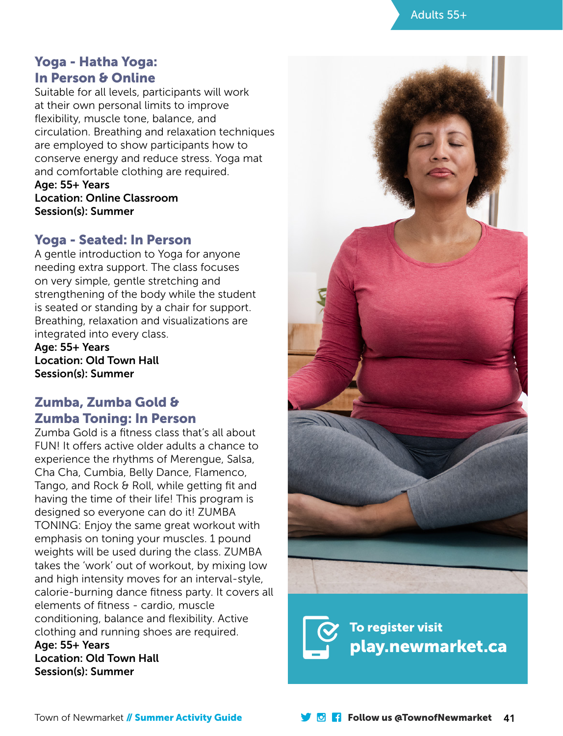

#### Yoga - Hatha Yoga: In Person & Online

Suitable for all levels, participants will work at their own personal limits to improve flexibility, muscle tone, balance, and circulation. Breathing and relaxation techniques are employed to show participants how to conserve energy and reduce stress. Yoga mat and comfortable clothing are required.

Age: 55+ Years Location: Online Classroom Session(s): Summer

#### Yoga - Seated: In Person

A gentle introduction to Yoga for anyone needing extra support. The class focuses on very simple, gentle stretching and strengthening of the body while the student is seated or standing by a chair for support. Breathing, relaxation and visualizations are integrated into every class.

Age: 55+ Years Location: Old Town Hall Session(s): Summer

#### Zumba, Zumba Gold & Zumba Toning: In Person

Zumba Gold is a fitness class that's all about FUN! It offers active older adults a chance to experience the rhythms of Merengue, Salsa, Cha Cha, Cumbia, Belly Dance, Flamenco, Tango, and Rock & Roll, while getting fit and having the time of their life! This program is designed so everyone can do it! ZUMBA TONING: Enjoy the same great workout with emphasis on toning your muscles. 1 pound weights will be used during the class. ZUMBA takes the 'work' out of workout, by mixing low and high intensity moves for an interval-style, calorie-burning dance fitness party. It covers all elements of fitness - cardio, muscle conditioning, balance and flexibility. Active clothing and running shoes are required. Age: 55+ Years

Location: Old Town Hall Session(s): Summer



To register visit play.newmarket.ca